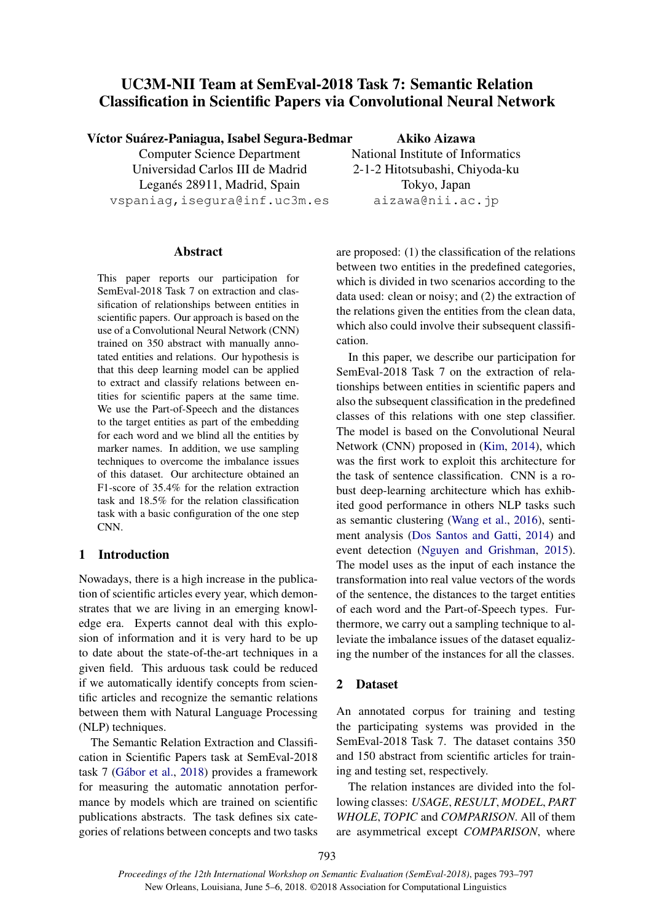# UC3M-NII Team at SemEval-2018 Task 7: Semantic Relation Classification in Scientific Papers via Convolutional Neural Network

Víctor Suárez-Paniagua, Isabel Segura-Bedmar

Computer Science Department Universidad Carlos III de Madrid Leganés 28911, Madrid, Spain vspaniag,isegura@inf.uc3m.es

Abstract

This paper reports our participation for SemEval-2018 Task 7 on extraction and classification of relationships between entities in scientific papers. Our approach is based on the use of a Convolutional Neural Network (CNN) trained on 350 abstract with manually annotated entities and relations. Our hypothesis is that this deep learning model can be applied to extract and classify relations between entities for scientific papers at the same time. We use the Part-of-Speech and the distances to the target entities as part of the embedding for each word and we blind all the entities by marker names. In addition, we use sampling techniques to overcome the imbalance issues of this dataset. Our architecture obtained an F1-score of 35.4% for the relation extraction task and 18.5% for the relation classification task with a basic configuration of the one step CNN.

# 1 Introduction

Nowadays, there is a high increase in the publication of scientific articles every year, which demonstrates that we are living in an emerging knowledge era. Experts cannot deal with this explosion of information and it is very hard to be up to date about the state-of-the-art techniques in a given field. This arduous task could be reduced if we automatically identify concepts from scientific articles and recognize the semantic relations between them with Natural Language Processing (NLP) techniques.

The Semantic Relation Extraction and Classification in Scientific Papers task at SemEval-2018 task 7 (Gábor et al., 2018) provides a framework for measuring the automatic annotation performance by models which are trained on scientific publications abstracts. The task defines six categories of relations between concepts and two tasks

Akiko Aizawa National Institute of Informatics 2-1-2 Hitotsubashi, Chiyoda-ku Tokyo, Japan aizawa@nii.ac.jp

are proposed: (1) the classification of the relations between two entities in the predefined categories, which is divided in two scenarios according to the data used: clean or noisy; and (2) the extraction of the relations given the entities from the clean data, which also could involve their subsequent classification.

In this paper, we describe our participation for SemEval-2018 Task 7 on the extraction of relationships between entities in scientific papers and also the subsequent classification in the predefined classes of this relations with one step classifier. The model is based on the Convolutional Neural Network (CNN) proposed in (Kim, 2014), which was the first work to exploit this architecture for the task of sentence classification. CNN is a robust deep-learning architecture which has exhibited good performance in others NLP tasks such as semantic clustering (Wang et al., 2016), sentiment analysis (Dos Santos and Gatti, 2014) and event detection (Nguyen and Grishman, 2015). The model uses as the input of each instance the transformation into real value vectors of the words of the sentence, the distances to the target entities of each word and the Part-of-Speech types. Furthermore, we carry out a sampling technique to alleviate the imbalance issues of the dataset equalizing the number of the instances for all the classes.

# 2 Dataset

An annotated corpus for training and testing the participating systems was provided in the SemEval-2018 Task 7. The dataset contains 350 and 150 abstract from scientific articles for training and testing set, respectively.

The relation instances are divided into the following classes: *USAGE*, *RESULT*, *MODEL*, *PART WHOLE*, *TOPIC* and *COMPARISON*. All of them are asymmetrical except *COMPARISON*, where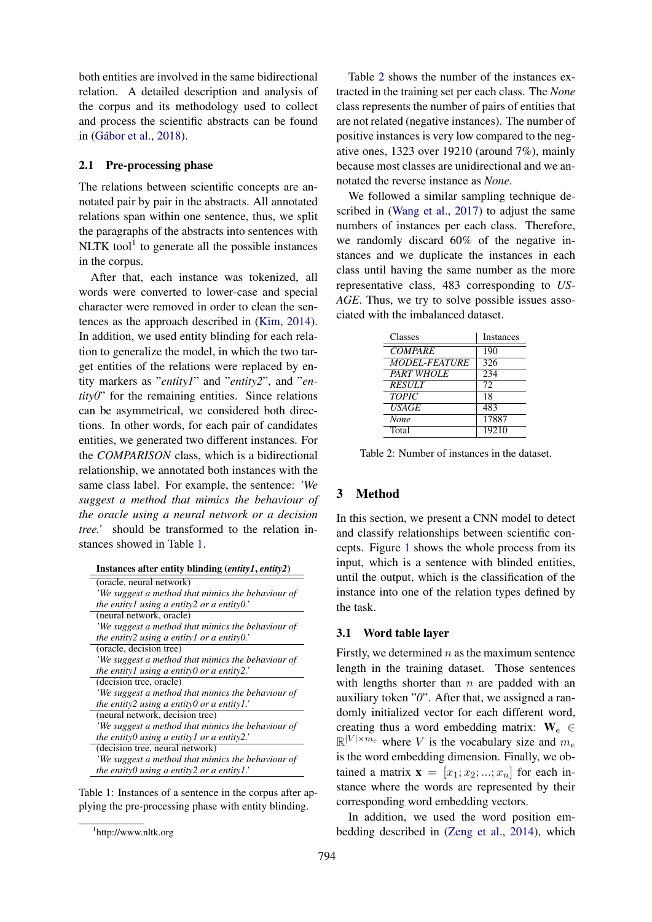both entities are involved in the same bidirectional relation. A detailed description and analysis of the corpus and its methodology used to collect and process the scientific abstracts can be found in (Gábor et al., 2018).

### 2.1 Pre-processing phase

The relations between scientific concepts are annotated pair by pair in the abstracts. All annotated relations span within one sentence, thus, we split the paragraphs of the abstracts into sentences with NLTK tool $<sup>1</sup>$  to generate all the possible instances</sup> in the corpus.

After that, each instance was tokenized, all words were converted to lower-case and special character were removed in order to clean the sentences as the approach described in (Kim, 2014). In addition, we used entity blinding for each relation to generalize the model, in which the two target entities of the relations were replaced by entity markers as "*entity1*" and "*entity2*", and "*entity0*" for the remaining entities. Since relations can be asymmetrical, we considered both directions. In other words, for each pair of candidates entities, we generated two different instances. For the *COMPARISON* class, which is a bidirectional relationship, we annotated both instances with the same class label. For example, the sentence: *'We suggest a method that mimics the behaviour of the oracle using a neural network or a decision tree.'* should be transformed to the relation instances showed in Table 1.

| (oracle, neural network)                            |
|-----------------------------------------------------|
| 'We suggest a method that mimics the behaviour of   |
| the entity lusing a entity 2 or a entity $0$ .      |
| (neural network, oracle)                            |
| 'We suggest a method that mimics the behaviour of   |
| the entity2 using a entity1 or a entity0.           |
| (oracle, decision tree)                             |
| 'We suggest a method that mimics the behaviour of   |
| the entityl using a entity0 or a entity2.'          |
| (decision tree, oracle)                             |
| 'We suggest a method that mimics the behaviour of   |
| the entity2 using a entity0 or a entity1.'          |
| (neural network, decision tree)                     |
| 'We suggest a method that mimics the behaviour of   |
| the entity $0$ using a entity $1$ or a entity $2$ . |
| (decision tree, neural network)                     |
| 'We suggest a method that mimics the behaviour of   |
| the entity 0 using a entity 2 or a entity $l$ .     |

Table 1: Instances of a sentence in the corpus after applying the pre-processing phase with entity blinding.

Table 2 shows the number of the instances extracted in the training set per each class. The *None* class represents the number of pairs of entities that are not related (negative instances). The number of positive instances is very low compared to the negative ones, 1323 over 19210 (around 7%), mainly because most classes are unidirectional and we annotated the reverse instance as *None*.

We followed a similar sampling technique described in (Wang et al., 2017) to adjust the same numbers of instances per each class. Therefore, we randomly discard 60% of the negative instances and we duplicate the instances in each class until having the same number as the more representative class, 483 corresponding to *US-AGE*. Thus, we try to solve possible issues associated with the imbalanced dataset.

| Classes              | <b>Instances</b> |
|----------------------|------------------|
| <b>COMPARE</b>       | 190              |
| <b>MODEL-FEATURE</b> | 326              |
| <b>PART WHOLE</b>    | 234              |
| <b>RESULT</b>        | 72               |
| <b>TOPIC</b>         | 18               |
| <b>USAGE</b>         | 483              |
| None                 | 17887            |
| Total                | 19210            |

Table 2: Number of instances in the dataset.

# 3 Method

In this section, we present a CNN model to detect and classify relationships between scientific concepts. Figure 1 shows the whole process from its input, which is a sentence with blinded entities, until the output, which is the classification of the instance into one of the relation types defined by the task.

### 3.1 Word table layer

Firstly, we determined  $n$  as the maximum sentence length in the training dataset. Those sentences with lengths shorter than  $n$  are padded with an auxiliary token "*0*". After that, we assigned a randomly initialized vector for each different word, creating thus a word embedding matrix:  $W_e \in$  $\mathbb{R}^{|V| \times m_e}$  where V is the vocabulary size and  $m_e$ is the word embedding dimension. Finally, we obtained a matrix  $\mathbf{x} = [x_1; x_2; ...; x_n]$  for each instance where the words are represented by their corresponding word embedding vectors.

In addition, we used the word position embedding described in (Zeng et al., 2014), which

<sup>1</sup> http://www.nltk.org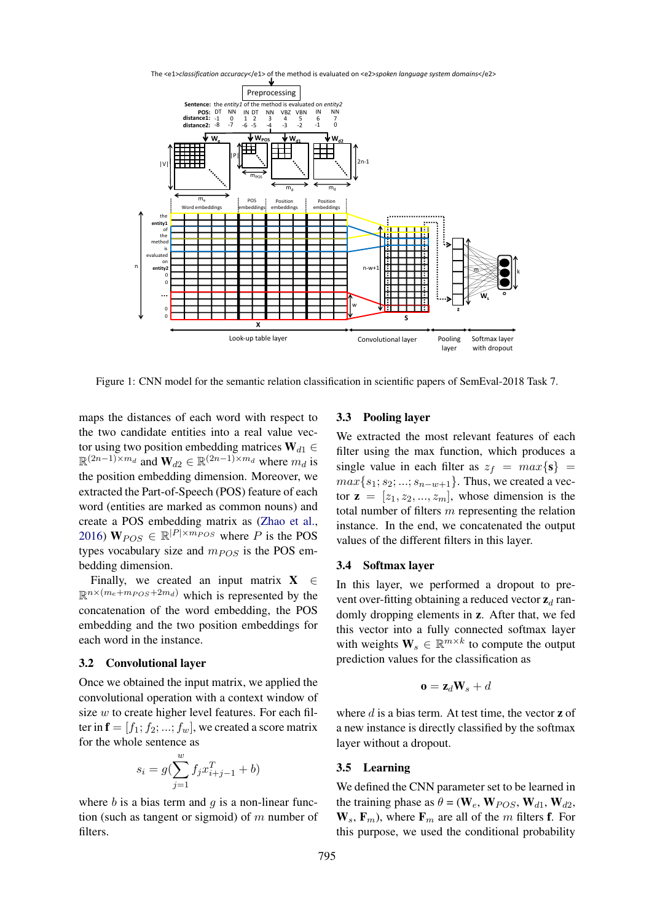The <e1>*classification accuracy*</e1> of the method is evaluated on <e2>*spoken language system domains*</e2>



Figure 1: CNN model for the semantic relation classification in scientific papers of SemEval-2018 Task 7.

maps the distances of each word with respect to the two candidate entities into a real value vector using two position embedding matrices  $W_{d1} \in$  $\mathbb{R}^{(2n-1)\times m_d}$  and  $\mathbf{W}_{d2} \in \mathbb{R}^{(2n-1)\times m_d}$  where  $m_d$  is the position embedding dimension. Moreover, we extracted the Part-of-Speech (POS) feature of each word (entities are marked as common nouns) and create a POS embedding matrix as (Zhao et al., 2016)  $\mathbf{W}_{POS} \in \mathbb{R}^{|P| \times m_{POS}}$  where P is the POS types vocabulary size and  $m_{POS}$  is the POS embedding dimension.

Finally, we created an input matrix  $X \in$  $\mathbb{R}^{n \times (m_e + m_{POS} + 2m_d)}$  which is represented by the concatenation of the word embedding, the POS embedding and the two position embeddings for each word in the instance.

### 3.2 Convolutional layer

Once we obtained the input matrix, we applied the convolutional operation with a context window of size w to create higher level features. For each filter in  $f = [f_1; f_2; \dots; f_w]$ , we created a score matrix for the whole sentence as

$$
s_i = g(\sum_{j=1}^{w} f_j x_{i+j-1}^T + b)
$$

where  $b$  is a bias term and  $g$  is a non-linear function (such as tangent or sigmoid) of  $m$  number of filters.

### 3.3 Pooling layer

We extracted the most relevant features of each filter using the max function, which produces a single value in each filter as  $z_f = max\{s\}$  =  $max\{s_1; s_2; ...; s_{n-w+1}\}.$  Thus, we created a vector  $z = [z_1, z_2, ..., z_m]$ , whose dimension is the total number of filters  $m$  representing the relation instance. In the end, we concatenated the output values of the different filters in this layer.

#### 3.4 Softmax layer

In this layer, we performed a dropout to prevent over-fitting obtaining a reduced vector  $z_d$  randomly dropping elements in z. After that, we fed this vector into a fully connected softmax layer with weights  $\mathbf{W}_s \in \mathbb{R}^{m \times k}$  to compute the output prediction values for the classification as

$$
\mathbf{o} = \mathbf{z}_d \mathbf{W}_s + d
$$

where  $d$  is a bias term. At test time, the vector  $\bf{z}$  of a new instance is directly classified by the softmax layer without a dropout.

### 3.5 Learning

We defined the CNN parameter set to be learned in the training phase as  $\theta = (\mathbf{W}_e, \mathbf{W}_{POS}, \mathbf{W}_{d1}, \mathbf{W}_{d2},$  $W_s$ ,  $F_m$ ), where  $F_m$  are all of the m filters f. For this purpose, we used the conditional probability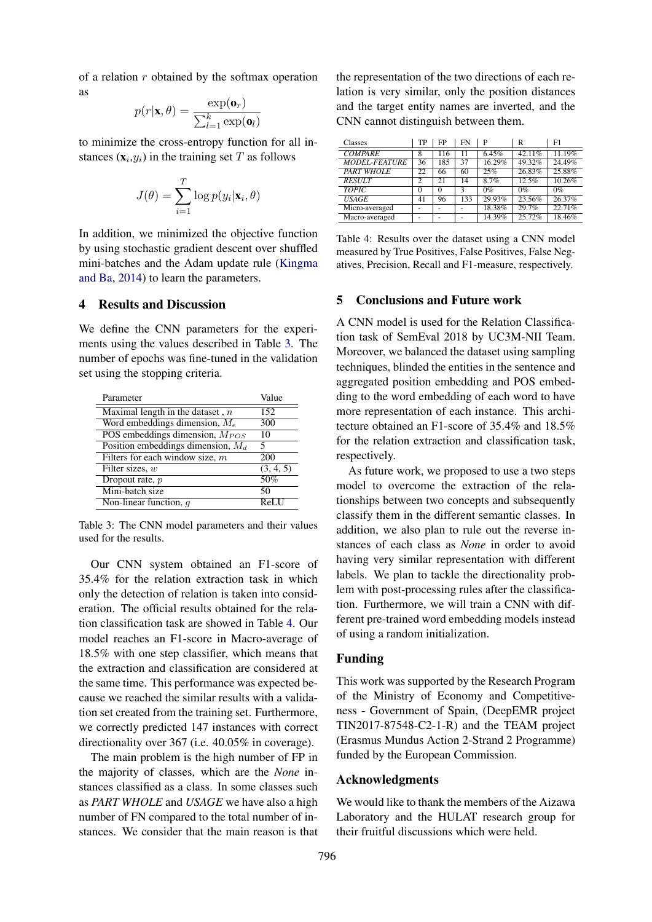of a relation  $r$  obtained by the softmax operation as

$$
p(r|\mathbf{x}, \theta) = \frac{\exp(\mathbf{o}_r)}{\sum_{l=1}^k \exp(\mathbf{o}_l)}
$$

to minimize the cross-entropy function for all instances  $(\mathbf{x}_i, y_i)$  in the training set T as follows

$$
J(\theta) = \sum_{i=1}^{T} \log p(y_i | \mathbf{x}_i, \theta)
$$

In addition, we minimized the objective function by using stochastic gradient descent over shuffled mini-batches and the Adam update rule (Kingma and Ba, 2014) to learn the parameters.

# 4 Results and Discussion

We define the CNN parameters for the experiments using the values described in Table 3. The number of epochs was fine-tuned in the validation set using the stopping criteria.

| Parameter                            | Value                |
|--------------------------------------|----------------------|
| Maximal length in the dataset, $n$   | 152                  |
| Word embeddings dimension, $M_e$     | 300                  |
| POS embeddings dimension, $M_{POS}$  | 10                   |
| Position embeddings dimension, $M_d$ | 5                    |
| Filters for each window size, $m$    | 200                  |
| Filter sizes, $w$                    | (3, 4, 5)            |
| Dropout rate, $p$                    | 50%                  |
| Mini-batch size                      | 50                   |
| Non-linear function, $q$             | $ReI$ $\overline{I}$ |

Table 3: The CNN model parameters and their values used for the results.

Our CNN system obtained an F1-score of 35.4% for the relation extraction task in which only the detection of relation is taken into consideration. The official results obtained for the relation classification task are showed in Table 4. Our model reaches an F1-score in Macro-average of 18.5% with one step classifier, which means that the extraction and classification are considered at the same time. This performance was expected because we reached the similar results with a validation set created from the training set. Furthermore, we correctly predicted 147 instances with correct directionality over 367 (i.e. 40.05% in coverage).

The main problem is the high number of FP in the majority of classes, which are the *None* instances classified as a class. In some classes such as *PART WHOLE* and *USAGE* we have also a high number of FN compared to the total number of instances. We consider that the main reason is that

the representation of the two directions of each relation is very similar, only the position distances and the target entity names are inverted, and the CNN cannot distinguish between them.

| Classes              | TP     | FP  | FN  | P      | R      | F1     |
|----------------------|--------|-----|-----|--------|--------|--------|
| <b>COMPARE</b>       | 8      | 116 | 11  | 6.45%  | 42.11% | 11.19% |
| <b>MODEL-FEATURE</b> | 36     | 185 | 37  | 16.29% | 49.32% | 24.49% |
| <b>PART WHOLE</b>    | 22     | 66  | 60  | 25%    | 26.83% | 25.88% |
| <b>RESULT</b>        | 2      | 21  | 14  | 8.7%   | 12.5%  | 10.26% |
| <b>TOPIC</b>         | $_{0}$ | 0   | 3   | $0\%$  | $0\%$  | $0\%$  |
| <b>USAGE</b>         | 41     | 96  | 133 | 29.93% | 23.56% | 26.37% |
| Micro-averaged       |        |     |     | 18.38% | 29.7%  | 22.71% |
| Macro-averaged       |        |     |     | 14.39% | 25.72% | 18.46% |

Table 4: Results over the dataset using a CNN model measured by True Positives, False Positives, False Negatives, Precision, Recall and F1-measure, respectively.

# 5 Conclusions and Future work

A CNN model is used for the Relation Classification task of SemEval 2018 by UC3M-NII Team. Moreover, we balanced the dataset using sampling techniques, blinded the entities in the sentence and aggregated position embedding and POS embedding to the word embedding of each word to have more representation of each instance. This architecture obtained an F1-score of 35.4% and 18.5% for the relation extraction and classification task, respectively.

As future work, we proposed to use a two steps model to overcome the extraction of the relationships between two concepts and subsequently classify them in the different semantic classes. In addition, we also plan to rule out the reverse instances of each class as *None* in order to avoid having very similar representation with different labels. We plan to tackle the directionality problem with post-processing rules after the classification. Furthermore, we will train a CNN with different pre-trained word embedding models instead of using a random initialization.

## Funding

This work was supported by the Research Program of the Ministry of Economy and Competitiveness - Government of Spain, (DeepEMR project TIN2017-87548-C2-1-R) and the TEAM project (Erasmus Mundus Action 2-Strand 2 Programme) funded by the European Commission.

## Acknowledgments

We would like to thank the members of the Aizawa Laboratory and the HULAT research group for their fruitful discussions which were held.